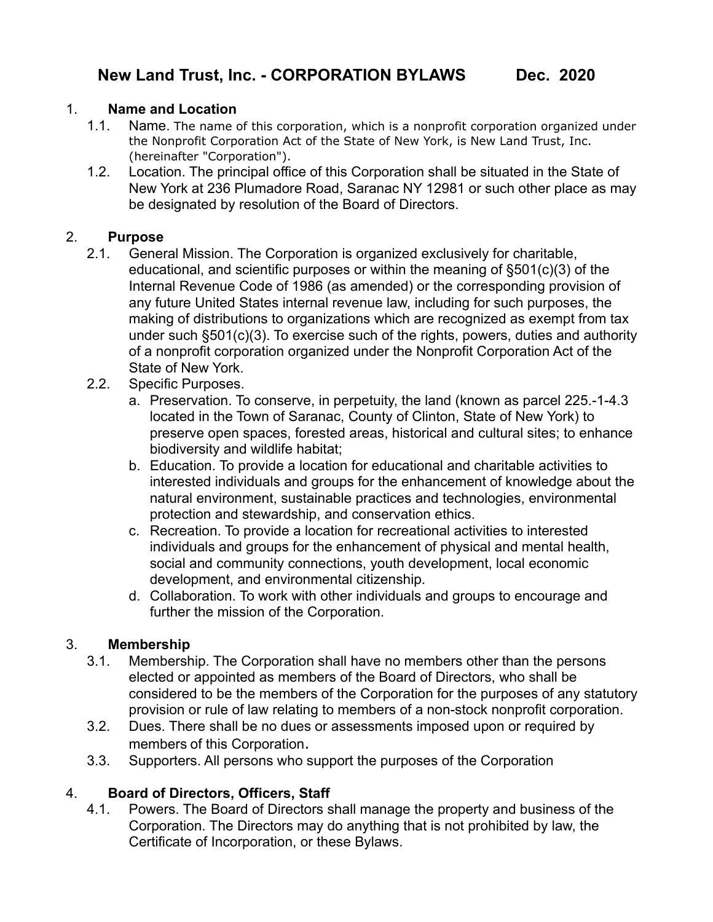### 1. **Name and Location**

- 1.1. Name. The name of this corporation, which is a nonprofit corporation organized under the Nonprofit Corporation Act of the State of New York, is New Land Trust, Inc. (hereinafter "Corporation").
- 1.2. Location. The principal office of this Corporation shall be situated in the State of New York at 236 Plumadore Road, Saranac NY 12981 or such other place as may be designated by resolution of the Board of Directors.

## 2. **Purpose**

- 2.1. General Mission. The Corporation is organized exclusively for charitable, educational, and scientific purposes or within the meaning of §501(c)(3) of the Internal Revenue Code of 1986 (as amended) or the corresponding provision of any future United States internal revenue law, including for such purposes, the making of distributions to organizations which are recognized as exempt from tax under such §501(c)(3). To exercise such of the rights, powers, duties and authority of a nonprofit corporation organized under the Nonprofit Corporation Act of the State of New York.
- 2.2. Specific Purposes.
	- a. Preservation. To conserve, in perpetuity, the land (known as parcel 225.-1-4.3 located in the Town of Saranac, County of Clinton, State of New York) to preserve open spaces, forested areas, historical and cultural sites; to enhance biodiversity and wildlife habitat;
	- b. Education. To provide a location for educational and charitable activities to interested individuals and groups for the enhancement of knowledge about the natural environment, sustainable practices and technologies, environmental protection and stewardship, and conservation ethics.
	- c. Recreation. To provide a location for recreational activities to interested individuals and groups for the enhancement of physical and mental health, social and community connections, youth development, local economic development, and environmental citizenship.
	- d. Collaboration. To work with other individuals and groups to encourage and further the mission of the Corporation.

# 3. **Membership**

- 3.1. Membership. The Corporation shall have no members other than the persons elected or appointed as members of the Board of Directors, who shall be considered to be the members of the Corporation for the purposes of any statutory provision or rule of law relating to members of a non-stock nonprofit corporation.
- 3.2. Dues. There shall be no dues or assessments imposed upon or required by members of this Corporation.
- 3.3. Supporters. All persons who support the purposes of the Corporation

# 4. **Board of Directors, Officers, Staff**

4.1. Powers. The Board of Directors shall manage the property and business of the Corporation. The Directors may do anything that is not prohibited by law, the Certificate of Incorporation, or these Bylaws.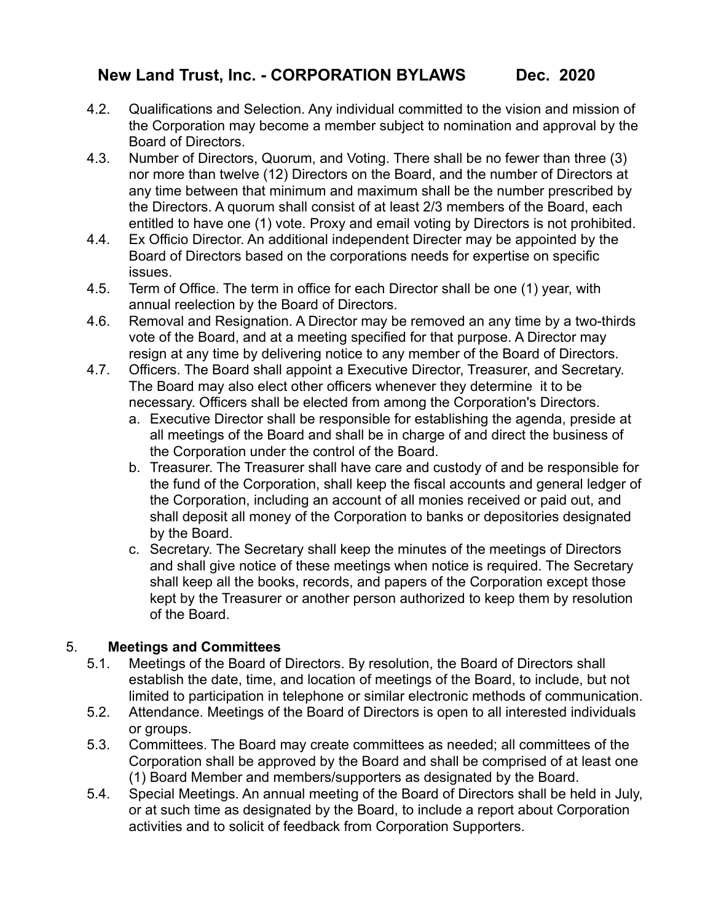# **New Land Trust, Inc. - CORPORATION BYLAWS Dec. 2020**

- 4.2. Qualifications and Selection. Any individual committed to the vision and mission of the Corporation may become a member subject to nomination and approval by the Board of Directors.
- 4.3. Number of Directors, Quorum, and Voting. There shall be no fewer than three (3) nor more than twelve (12) Directors on the Board, and the number of Directors at any time between that minimum and maximum shall be the number prescribed by the Directors. A quorum shall consist of at least 2/3 members of the Board, each entitled to have one (1) vote. Proxy and email voting by Directors is not prohibited.
- 4.4. Ex Officio Director. An additional independent Directer may be appointed by the Board of Directors based on the corporations needs for expertise on specific issues.
- 4.5. Term of Office. The term in office for each Director shall be one (1) year, with annual reelection by the Board of Directors.
- 4.6. Removal and Resignation. A Director may be removed an any time by a two-thirds vote of the Board, and at a meeting specified for that purpose. A Director may resign at any time by delivering notice to any member of the Board of Directors.
- 4.7. Officers. The Board shall appoint a Executive Director, Treasurer, and Secretary. The Board may also elect other officers whenever they determine it to be necessary. Officers shall be elected from among the Corporation's Directors.
	- a. Executive Director shall be responsible for establishing the agenda, preside at all meetings of the Board and shall be in charge of and direct the business of the Corporation under the control of the Board.
	- b. Treasurer. The Treasurer shall have care and custody of and be responsible for the fund of the Corporation, shall keep the fiscal accounts and general ledger of the Corporation, including an account of all monies received or paid out, and shall deposit all money of the Corporation to banks or depositories designated by the Board.
	- c. Secretary. The Secretary shall keep the minutes of the meetings of Directors and shall give notice of these meetings when notice is required. The Secretary shall keep all the books, records, and papers of the Corporation except those kept by the Treasurer or another person authorized to keep them by resolution of the Board.

### 5. **Meetings and Committees**

- 5.1. Meetings of the Board of Directors. By resolution, the Board of Directors shall establish the date, time, and location of meetings of the Board, to include, but not limited to participation in telephone or similar electronic methods of communication.
- 5.2. Attendance. Meetings of the Board of Directors is open to all interested individuals or groups.
- 5.3. Committees. The Board may create committees as needed; all committees of the Corporation shall be approved by the Board and shall be comprised of at least one (1) Board Member and members/supporters as designated by the Board.
- 5.4. Special Meetings. An annual meeting of the Board of Directors shall be held in July, or at such time as designated by the Board, to include a report about Corporation activities and to solicit of feedback from Corporation Supporters.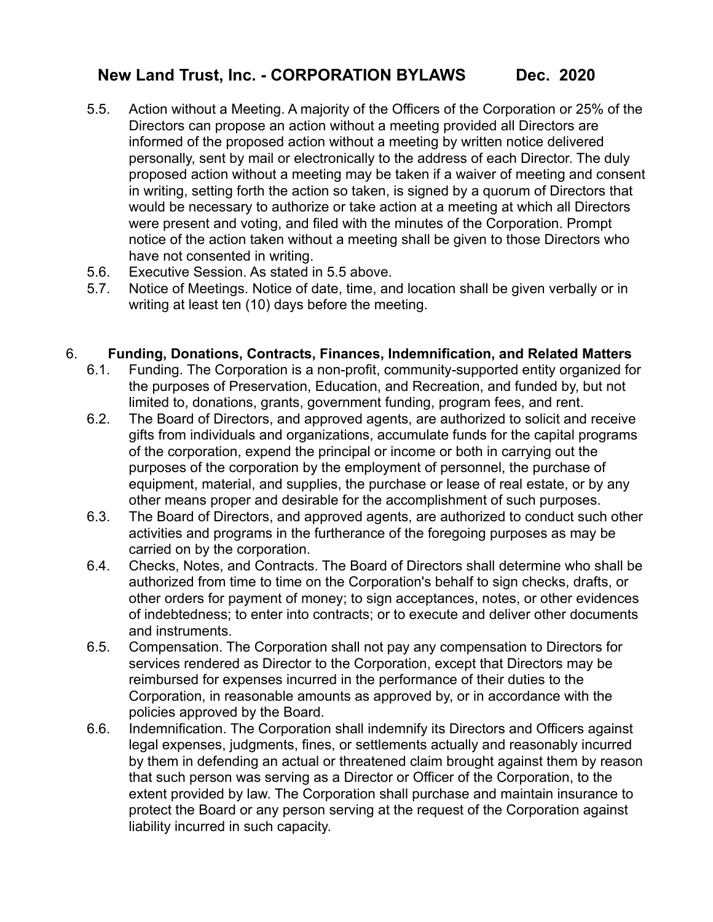# **New Land Trust, Inc. - CORPORATION BYLAWS Dec. 2020**

- 5.5. Action without a Meeting. A majority of the Officers of the Corporation or 25% of the Directors can propose an action without a meeting provided all Directors are informed of the proposed action without a meeting by written notice delivered personally, sent by mail or electronically to the address of each Director. The duly proposed action without a meeting may be taken if a waiver of meeting and consent in writing, setting forth the action so taken, is signed by a quorum of Directors that would be necessary to authorize or take action at a meeting at which all Directors were present and voting, and filed with the minutes of the Corporation. Prompt notice of the action taken without a meeting shall be given to those Directors who have not consented in writing.
- 5.6. Executive Session. As stated in 5.5 above.
- 5.7. Notice of Meetings. Notice of date, time, and location shall be given verbally or in writing at least ten (10) days before the meeting.

#### 6. **Funding, Donations, Contracts, Finances, Indemnification, and Related Matters**

- 6.1. Funding. The Corporation is a non-profit, community-supported entity organized for the purposes of Preservation, Education, and Recreation, and funded by, but not limited to, donations, grants, government funding, program fees, and rent.
- 6.2. The Board of Directors, and approved agents, are authorized to solicit and receive gifts from individuals and organizations, accumulate funds for the capital programs of the corporation, expend the principal or income or both in carrying out the purposes of the corporation by the employment of personnel, the purchase of equipment, material, and supplies, the purchase or lease of real estate, or by any other means proper and desirable for the accomplishment of such purposes.
- 6.3. The Board of Directors, and approved agents, are authorized to conduct such other activities and programs in the furtherance of the foregoing purposes as may be carried on by the corporation.
- 6.4. Checks, Notes, and Contracts. The Board of Directors shall determine who shall be authorized from time to time on the Corporation's behalf to sign checks, drafts, or other orders for payment of money; to sign acceptances, notes, or other evidences of indebtedness; to enter into contracts; or to execute and deliver other documents and instruments.
- 6.5. Compensation. The Corporation shall not pay any compensation to Directors for services rendered as Director to the Corporation, except that Directors may be reimbursed for expenses incurred in the performance of their duties to the Corporation, in reasonable amounts as approved by, or in accordance with the policies approved by the Board.
- 6.6. Indemnification. The Corporation shall indemnify its Directors and Officers against legal expenses, judgments, fines, or settlements actually and reasonably incurred by them in defending an actual or threatened claim brought against them by reason that such person was serving as a Director or Officer of the Corporation, to the extent provided by law. The Corporation shall purchase and maintain insurance to protect the Board or any person serving at the request of the Corporation against liability incurred in such capacity.